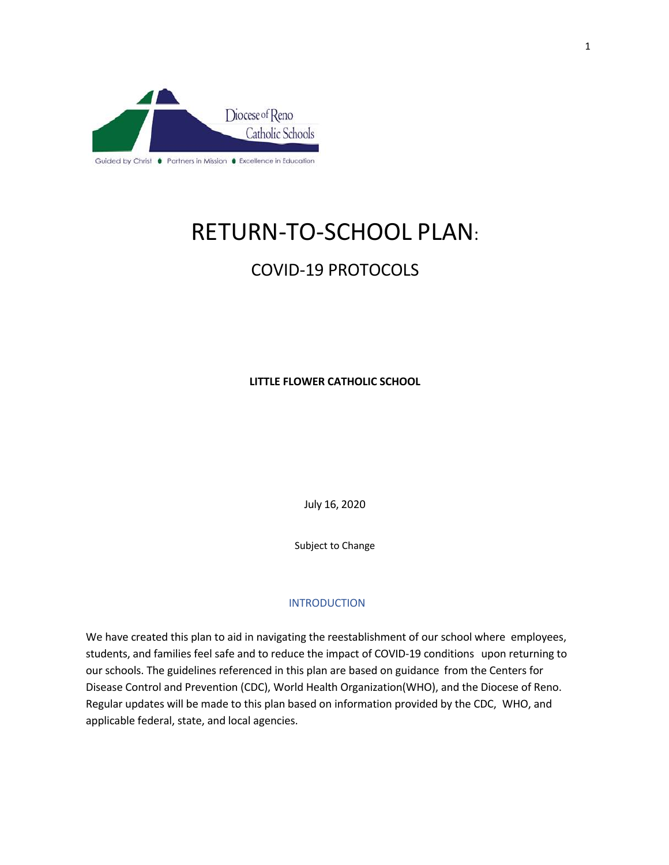

# RETURN-TO-SCHOOL PLAN:

# COVID-19 PROTOCOLS

**LITTLE FLOWER CATHOLIC SCHOOL**

July 16, 2020

Subject to Change

### INTRODUCTION

We have created this plan to aid in navigating the reestablishment of our school where employees, students, and families feel safe and to reduce the impact of COVID-19 conditions upon returning to our schools. The guidelines referenced in this plan are based on guidance from the Centers for Disease Control and Prevention (CDC), World Health Organization(WHO), and the Diocese of Reno. Regular updates will be made to this plan based on information provided by the CDC, WHO, and applicable federal, state, and local agencies.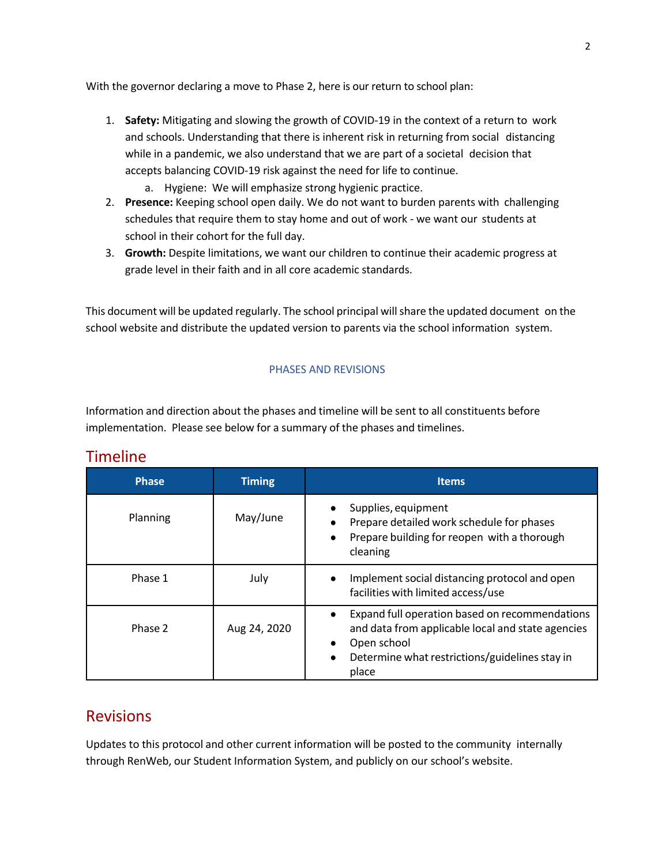With the governor declaring a move to Phase 2, here is our return to school plan:

- 1. **Safety:** Mitigating and slowing the growth of COVID-19 in the context of a return to work and schools. Understanding that there is inherent risk in returning from social distancing while in a pandemic, we also understand that we are part of a societal decision that accepts balancing COVID-19 risk against the need for life to continue.
	- a. Hygiene: We will emphasize strong hygienic practice.
- 2. **Presence:** Keeping school open daily. We do not want to burden parents with challenging schedules that require them to stay home and out of work - we want our students at school in their cohort for the full day.
- 3. **Growth:** Despite limitations, we want our children to continue their academic progress at grade level in their faith and in all core academic standards.

This document will be updated regularly. The school principal will share the updated document on the school website and distribute the updated version to parents via the school information system.

### PHASES AND REVISIONS

Information and direction about the phases and timeline will be sent to all constituents before implementation. Please see below for a summary of the phases and timelines.

| <b>Phase</b> | <b>Timing</b> | <b>Items</b>                                                                                                                                                                               |
|--------------|---------------|--------------------------------------------------------------------------------------------------------------------------------------------------------------------------------------------|
| Planning     | May/June      | Supplies, equipment<br>Prepare detailed work schedule for phases<br>Prepare building for reopen with a thorough<br>cleaning                                                                |
| Phase 1      | July          | Implement social distancing protocol and open<br>facilities with limited access/use                                                                                                        |
| Phase 2      | Aug 24, 2020  | Expand full operation based on recommendations<br>$\bullet$<br>and data from applicable local and state agencies<br>Open school<br>Determine what restrictions/guidelines stay in<br>place |

### Timeline

### Revisions

Updates to this protocol and other current information will be posted to the community internally through RenWeb, our Student Information System, and publicly on our school's website.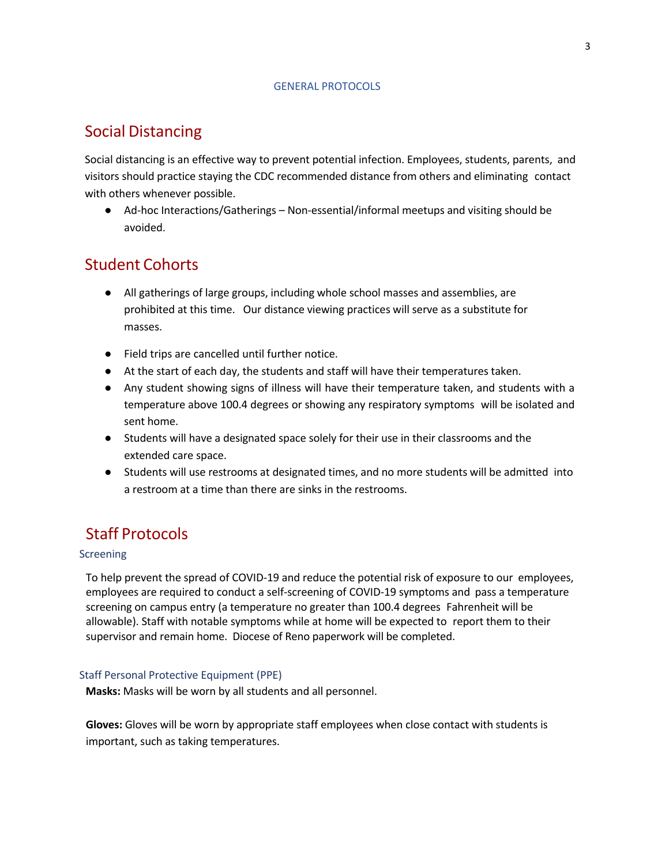#### GENERAL PROTOCOLS

# Social Distancing

Social distancing is an effective way to prevent potential infection. Employees, students, parents, and visitors should practice staying the CDC recommended distance from others and eliminating contact with others whenever possible.

● Ad-hoc Interactions/Gatherings – Non-essential/informal meetups and visiting should be avoided.

# Student Cohorts

- All gatherings of large groups, including whole school masses and assemblies, are prohibited at this time. Our distance viewing practices will serve as a substitute for masses.
- Field trips are cancelled until further notice.
- At the start of each day, the students and staff will have their temperatures taken.
- Any student showing signs of illness will have their temperature taken, and students with a temperature above 100.4 degrees or showing any respiratory symptoms will be isolated and sent home.
- Students will have a designated space solely for their use in their classrooms and the extended care space.
- Students will use restrooms at designated times, and no more students will be admitted into a restroom at a time than there are sinks in the restrooms.

# Staff Protocols

### Screening

To help prevent the spread of COVID-19 and reduce the potential risk of exposure to our employees, employees are required to conduct a self-screening of COVID-19 symptoms and pass a temperature screening on campus entry (a temperature no greater than 100.4 degrees Fahrenheit will be allowable). Staff with notable symptoms while at home will be expected to report them to their supervisor and remain home. Diocese of Reno paperwork will be completed.

### Staff Personal Protective Equipment (PPE)

**Masks:** Masks will be worn by all students and all personnel.

**Gloves:** Gloves will be worn by appropriate staff employees when close contact with students is important, such as taking temperatures.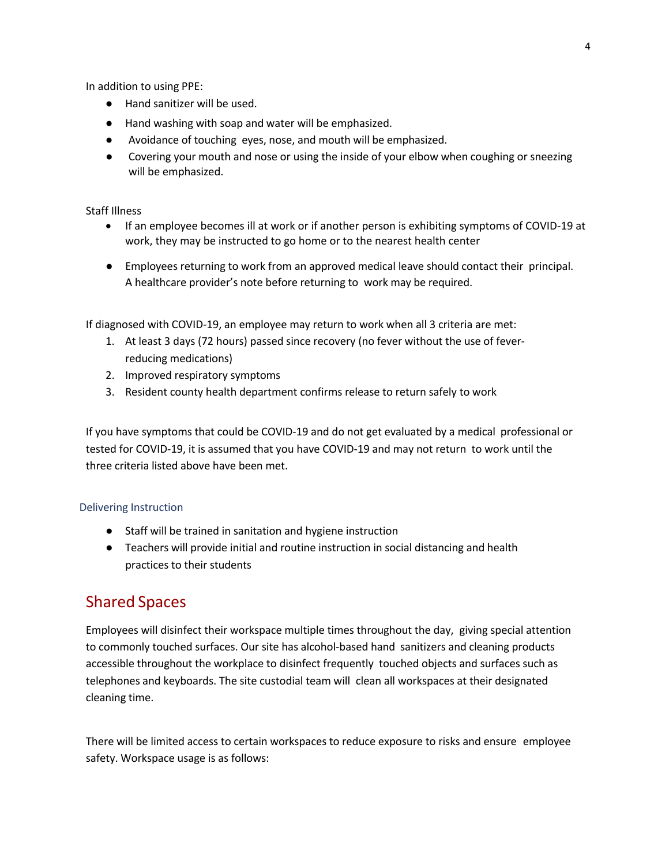In addition to using PPE:

- Hand sanitizer will be used.
- Hand washing with soap and water will be emphasized.
- Avoidance of touching eyes, nose, and mouth will be emphasized.
- Covering your mouth and nose or using the inside of your elbow when coughing or sneezing will be emphasized.

#### Staff Illness

- If an employee becomes ill at work or if another person is exhibiting symptoms of COVID-19 at work, they may be instructed to go home or to the nearest health center
- Employees returning to work from an approved medical leave should contact their principal. A healthcare provider's note before returning to work may be required.

If diagnosed with COVID-19, an employee may return to work when all 3 criteria are met:

- 1. At least 3 days (72 hours) passed since recovery (no fever without the use of feverreducing medications)
- 2. Improved respiratory symptoms
- 3. Resident county health department confirms release to return safely to work

If you have symptoms that could be COVID-19 and do not get evaluated by a medical professional or tested for COVID-19, it is assumed that you have COVID-19 and may not return to work until the three criteria listed above have been met.

#### Delivering Instruction

- Staff will be trained in sanitation and hygiene instruction
- Teachers will provide initial and routine instruction in social distancing and health practices to their students

### Shared Spaces

Employees will disinfect their workspace multiple times throughout the day, giving special attention to commonly touched surfaces. Our site has alcohol-based hand sanitizers and cleaning products accessible throughout the workplace to disinfect frequently touched objects and surfaces such as telephones and keyboards. The site custodial team will clean all workspaces at their designated cleaning time.

There will be limited access to certain workspaces to reduce exposure to risks and ensure employee safety. Workspace usage is as follows: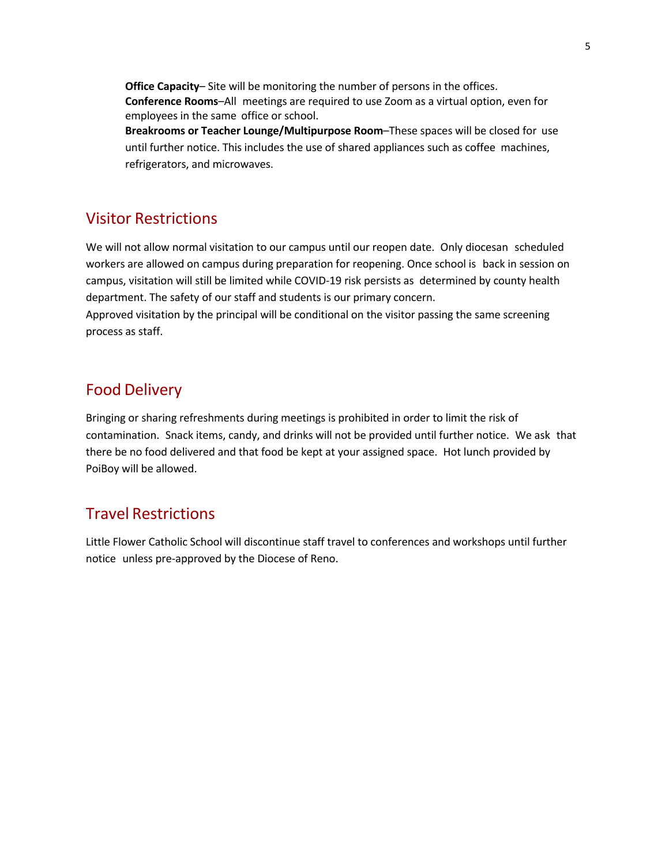**Office Capacity–** Site will be monitoring the number of persons in the offices. **Conference Rooms**–All meetings are required to use Zoom as a virtual option, even for employees in the same office or school.

**Breakrooms or Teacher Lounge/Multipurpose Room**–These spaces will be closed for use until further notice. This includes the use of shared appliances such as coffee machines, refrigerators, and microwaves.

### Visitor Restrictions

We will not allow normal visitation to our campus until our reopen date. Only diocesan scheduled workers are allowed on campus during preparation for reopening. Once school is back in session on campus, visitation will still be limited while COVID-19 risk persists as determined by county health department. The safety of our staff and students is our primary concern.

Approved visitation by the principal will be conditional on the visitor passing the same screening process as staff.

# Food Delivery

Bringing or sharing refreshments during meetings is prohibited in order to limit the risk of contamination. Snack items, candy, and drinks will not be provided until further notice. We ask that there be no food delivered and that food be kept at your assigned space. Hot lunch provided by PoiBoy will be allowed.

# Travel Restrictions

Little Flower Catholic School will discontinue staff travel to conferences and workshops until further notice unless pre-approved by the Diocese of Reno.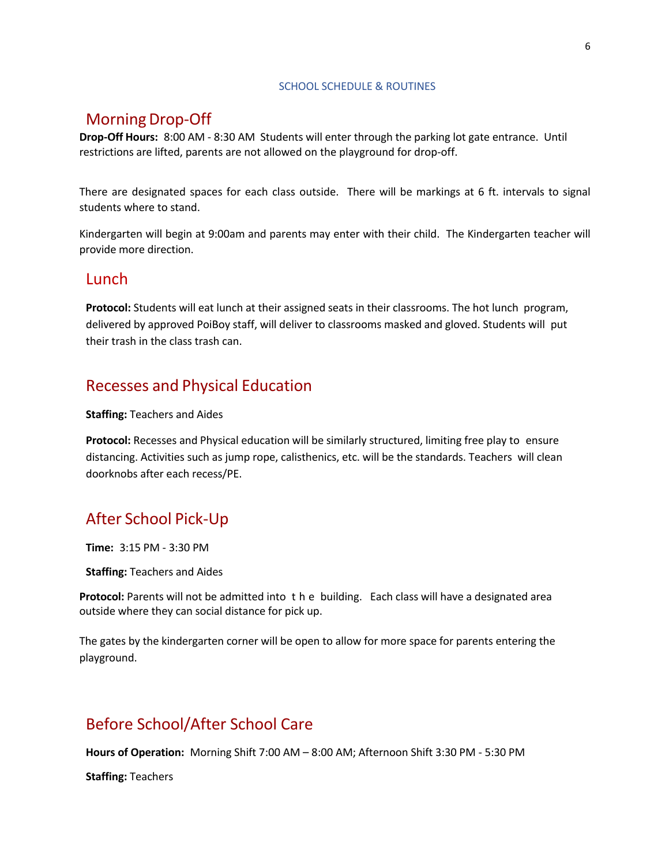#### SCHOOL SCHEDULE & ROUTINES

## Morning Drop-Off

**Drop-Off Hours:** 8:00 AM - 8:30 AM Students will enter through the parking lot gate entrance. Until restrictions are lifted, parents are not allowed on the playground for drop-off.

There are designated spaces for each class outside. There will be markings at 6 ft. intervals to signal students where to stand.

Kindergarten will begin at 9:00am and parents may enter with their child. The Kindergarten teacher will provide more direction.

### **Lunch**

**Protocol:** Students will eat lunch at their assigned seats in their classrooms. The hot lunch program, delivered by approved PoiBoy staff, will deliver to classrooms masked and gloved. Students will put their trash in the class trash can.

### Recesses and Physical Education

**Staffing:** Teachers and Aides

**Protocol:** Recesses and Physical education will be similarly structured, limiting free play to ensure distancing. Activities such as jump rope, calisthenics, etc. will be the standards. Teachers will clean doorknobs after each recess/PE.

# After School Pick-Up

**Time:** 3:15 PM - 3:30 PM

**Staffing:** Teachers and Aides

**Protocol:** Parents will not be admitted into the building. Each class will have a designated area outside where they can social distance for pick up.

The gates by the kindergarten corner will be open to allow for more space for parents entering the playground.

# Before School/After School Care

**Hours of Operation:** Morning Shift 7:00 AM – 8:00 AM; Afternoon Shift 3:30 PM - 5:30 PM

**Staffing:** Teachers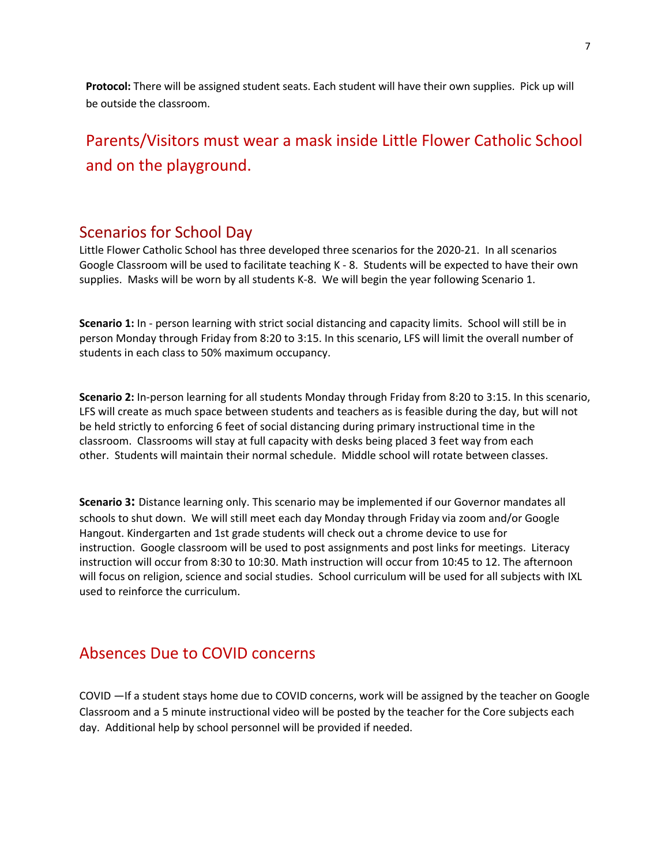**Protocol:** There will be assigned student seats. Each student will have their own supplies. Pick up will be outside the classroom.

Parents/Visitors must wear a mask inside Little Flower Catholic School and on the playground.

### Scenarios for School Day

Little Flower Catholic School has three developed three scenarios for the 2020-21. In all scenarios Google Classroom will be used to facilitate teaching K - 8. Students will be expected to have their own supplies. Masks will be worn by all students K-8. We will begin the year following Scenario 1.

**Scenario 1:** In - person learning with strict social distancing and capacity limits. School will still be in person Monday through Friday from 8:20 to 3:15. In this scenario, LFS will limit the overall number of students in each class to 50% maximum occupancy.

**Scenario 2:** In-person learning for all students Monday through Friday from 8:20 to 3:15. In this scenario, LFS will create as much space between students and teachers as is feasible during the day, but will not be held strictly to enforcing 6 feet of social distancing during primary instructional time in the classroom. Classrooms will stay at full capacity with desks being placed 3 feet way from each other. Students will maintain their normal schedule. Middle school will rotate between classes.

**Scenario 3:** Distance learning only. This scenario may be implemented if our Governor mandates all schools to shut down. We will still meet each day Monday through Friday via zoom and/or Google Hangout. Kindergarten and 1st grade students will check out a chrome device to use for instruction. Google classroom will be used to post assignments and post links for meetings. Literacy instruction will occur from 8:30 to 10:30. Math instruction will occur from 10:45 to 12. The afternoon will focus on religion, science and social studies. School curriculum will be used for all subjects with IXL used to reinforce the curriculum.

### Absences Due to COVID concerns

COVID —If a student stays home due to COVID concerns, work will be assigned by the teacher on Google Classroom and a 5 minute instructional video will be posted by the teacher for the Core subjects each day. Additional help by school personnel will be provided if needed.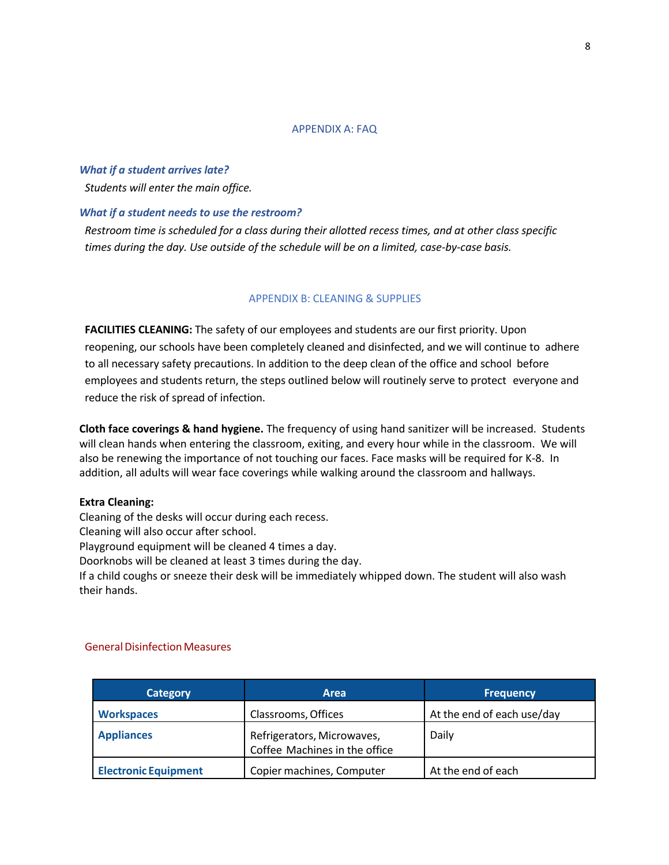#### APPENDIX A: FAQ

#### *What if a student arrives late?*

*Students will enter the main office.*

#### *What if a student needs to use the restroom?*

*Restroom time is scheduled for a class during their allotted recess times, and at other class specific times during the day. Use outside of the schedule will be on a limited, case-by-case basis.*

#### APPENDIX B: CLEANING & SUPPLIES

**FACILITIES CLEANING:** The safety of our employees and students are our first priority. Upon reopening, our schools have been completely cleaned and disinfected, and we will continue to adhere to all necessary safety precautions. In addition to the deep clean of the office and school before employees and students return, the steps outlined below will routinely serve to protect everyone and reduce the risk of spread of infection.

**Cloth face coverings & hand hygiene.** The frequency of using hand sanitizer will be increased. Students will clean hands when entering the classroom, exiting, and every hour while in the classroom. We will also be renewing the importance of not touching our faces. Face masks will be required for K-8. In addition, all adults will wear face coverings while walking around the classroom and hallways.

#### **Extra Cleaning:**

Cleaning of the desks will occur during each recess.

Cleaning will also occur after school.

Playground equipment will be cleaned 4 times a day.

Doorknobs will be cleaned at least 3 times during the day.

If a child coughs or sneeze their desk will be immediately whipped down. The student will also wash their hands.

| Category                    | Area                                                        | <b>Frequency</b>           |
|-----------------------------|-------------------------------------------------------------|----------------------------|
| <b>Workspaces</b>           | Classrooms, Offices                                         | At the end of each use/day |
| <b>Appliances</b>           | Refrigerators, Microwaves,<br>Coffee Machines in the office | Daily                      |
| <b>Electronic Equipment</b> | Copier machines, Computer                                   | At the end of each         |

#### **General Disinfection Measures**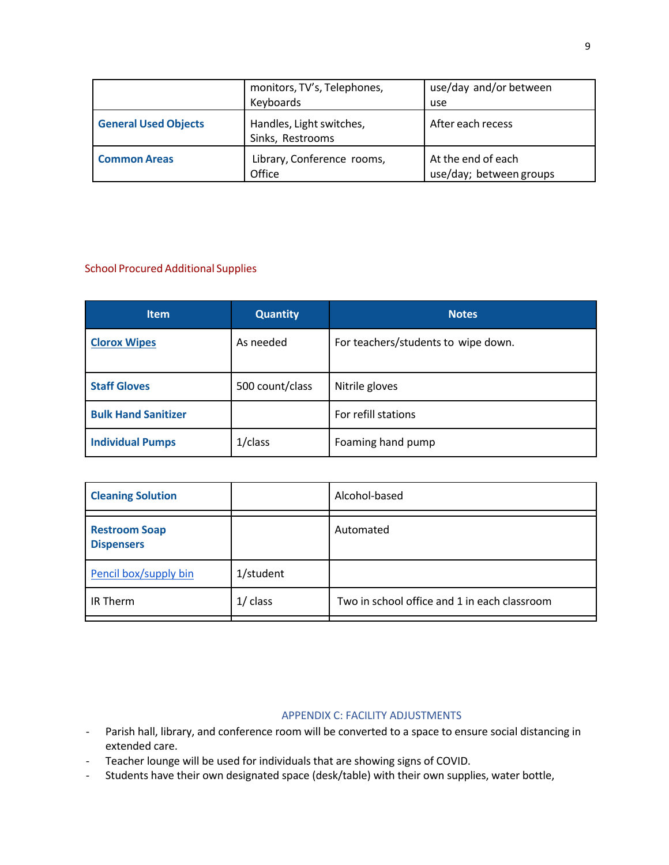|                             | monitors, TV's, Telephones,<br>Keyboards     | use/day and/or between<br>use                 |
|-----------------------------|----------------------------------------------|-----------------------------------------------|
| <b>General Used Objects</b> | Handles, Light switches,<br>Sinks, Restrooms | After each recess                             |
| <b>Common Areas</b>         | Library, Conference rooms,<br>Office         | At the end of each<br>use/day; between groups |

### School Procured Additional Supplies

| <b>Item</b>                | <b>Quantity</b> | <b>Notes</b>                        |
|----------------------------|-----------------|-------------------------------------|
| <b>Clorox Wipes</b>        | As needed       | For teachers/students to wipe down. |
| <b>Staff Gloves</b>        | 500 count/class | Nitrile gloves                      |
| <b>Bulk Hand Sanitizer</b> |                 | For refill stations                 |
| <b>Individual Pumps</b>    | $1$ /class      | Foaming hand pump                   |

| <b>Cleaning Solution</b>                  |            | Alcohol-based                                |
|-------------------------------------------|------------|----------------------------------------------|
| <b>Restroom Soap</b><br><b>Dispensers</b> |            | Automated                                    |
| Pencil box/supply bin                     | 1/student  |                                              |
| IR Therm                                  | $1/$ class | Two in school office and 1 in each classroom |

#### APPENDIX C: FACILITY ADJUSTMENTS

- Parish hall, library, and conference room will be converted to a space to ensure social distancing in extended care.
- Teacher lounge will be used for individuals that are showing signs of COVID.
- Students have their own designated space (desk/table) with their own supplies, water bottle,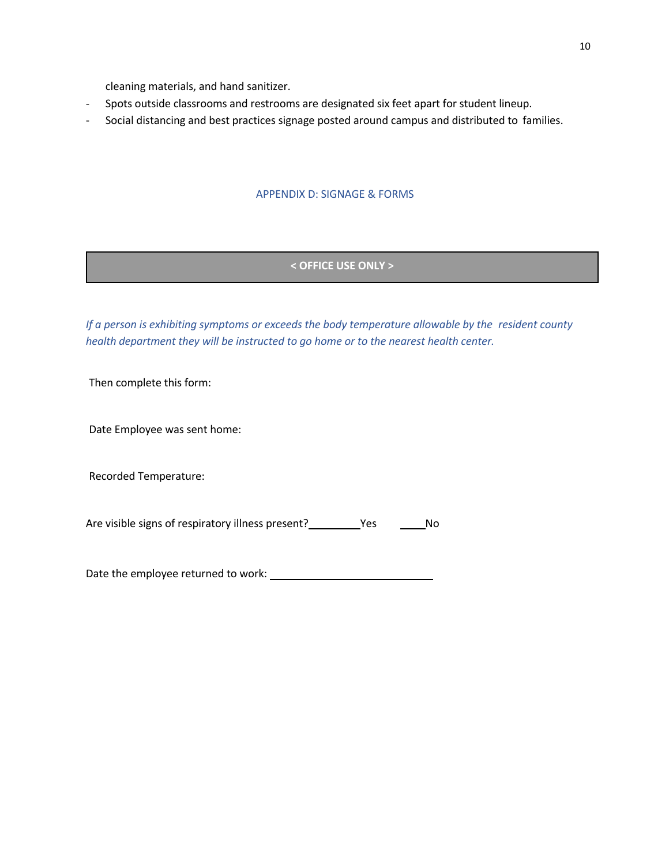cleaning materials, and hand sanitizer.

- Spots outside classrooms and restrooms are designated six feet apart for student lineup.
- Social distancing and best practices signage posted around campus and distributed to families.

### APPENDIX D: SIGNAGE & FORMS

### **< OFFICE USE ONLY >**

*If a person is exhibiting symptoms or exceeds the body temperature allowable by the resident county health department they will be instructed to go home or to the nearest health center.*

Then complete this form:

Date Employee was sent home:

Recorded Temperature:

Are visible signs of respiratory illness present? \_\_\_\_\_\_\_\_\_\_ Yes \_\_\_\_\_\_\_\_ No

Date the employee returned to work: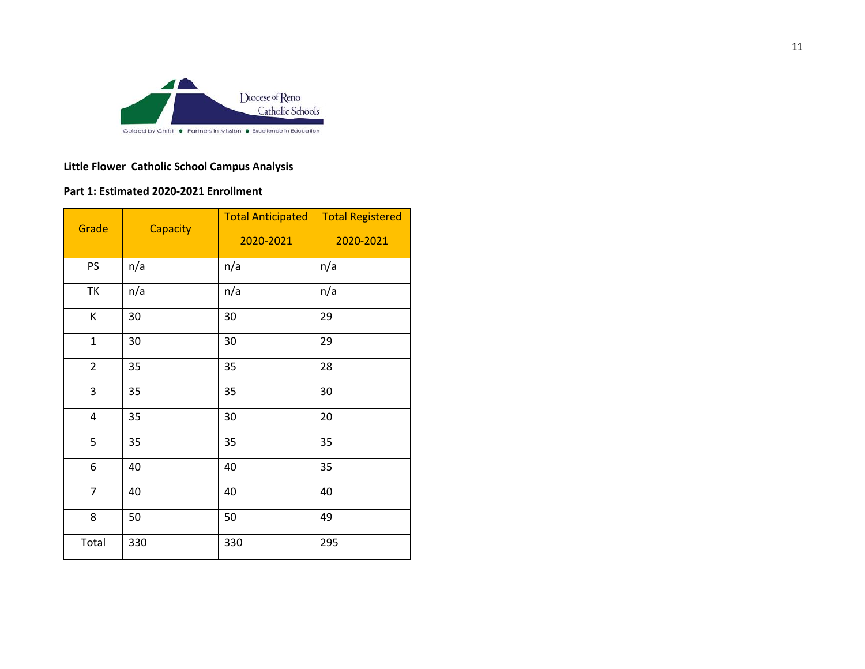

### **Little Flower Catholic School Campus Analysis**

### **Part 1: Estimated 2020-2021 Enrollment**

| Grade                   | Capacity | <b>Total Anticipated</b><br>2020-2021 | <b>Total Registered</b><br>2020-2021 |
|-------------------------|----------|---------------------------------------|--------------------------------------|
| PS                      | n/a      | n/a                                   | n/a                                  |
| TK                      | n/a      | n/a                                   | n/a                                  |
| К                       | 30       | 30                                    | 29                                   |
| $\mathbf{1}$            | 30       | 30                                    | 29                                   |
| $\overline{2}$          | 35       | 35                                    | 28                                   |
| 3                       | 35       | 35                                    | 30                                   |
| $\overline{\mathbf{4}}$ | 35       | 30                                    | 20                                   |
| 5                       | 35       | 35                                    | 35                                   |
| 6                       | 40       | 40                                    | 35                                   |
| $\overline{7}$          | 40       | 40                                    | 40                                   |
| 8                       | 50       | 50                                    | 49                                   |
| Total                   | 330      | 330                                   | 295                                  |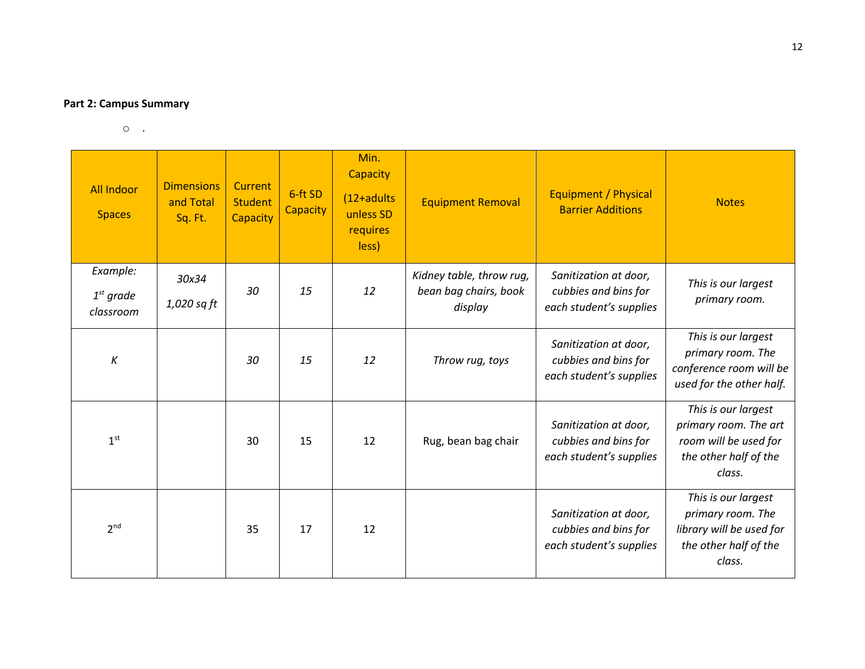### **Part 2: Campus Summary**

 $\circ$  .

| <b>All Indoor</b><br><b>Spaces</b>   | <b>Dimensions</b><br>and Total<br>Sq. Ft. | <b>Current</b><br><b>Student</b><br>Capacity | 6-ft SD<br>Capacity | Min.<br>Capacity<br>$(12+adults$<br>unless SD<br>requires<br>less) | <b>Equipment Removal</b>                                     | Equipment / Physical<br><b>Barrier Additions</b>                         | <b>Notes</b>                                                                                             |
|--------------------------------------|-------------------------------------------|----------------------------------------------|---------------------|--------------------------------------------------------------------|--------------------------------------------------------------|--------------------------------------------------------------------------|----------------------------------------------------------------------------------------------------------|
| Example:<br>$1st$ grade<br>classroom | 30x34<br>1,020 sq ft                      | 30                                           | 15                  | 12                                                                 | Kidney table, throw rug,<br>bean bag chairs, book<br>display | Sanitization at door,<br>cubbies and bins for<br>each student's supplies | This is our largest<br>primary room.                                                                     |
| $\boldsymbol{K}$                     |                                           | 30                                           | 15                  | 12                                                                 | Throw rug, toys                                              | Sanitization at door,<br>cubbies and bins for<br>each student's supplies | This is our largest<br>primary room. The<br>conference room will be<br>used for the other half.          |
| 1 <sup>st</sup>                      |                                           | 30                                           | 15                  | 12                                                                 | Rug, bean bag chair                                          | Sanitization at door,<br>cubbies and bins for<br>each student's supplies | This is our largest<br>primary room. The art<br>room will be used for<br>the other half of the<br>class. |
| 2 <sup>nd</sup>                      |                                           | 35                                           | 17                  | 12                                                                 |                                                              | Sanitization at door,<br>cubbies and bins for<br>each student's supplies | This is our largest<br>primary room. The<br>library will be used for<br>the other half of the<br>class.  |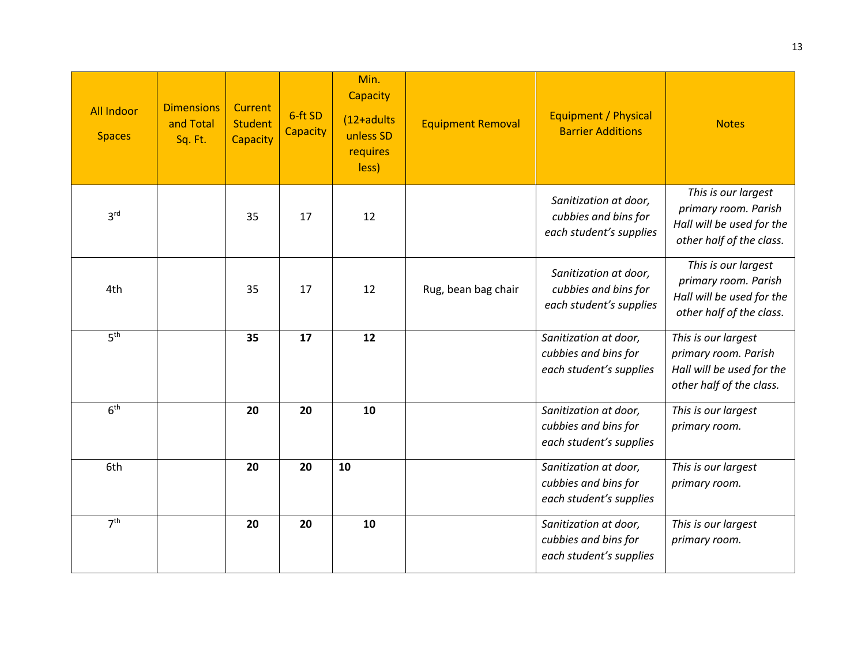| <b>All Indoor</b><br><b>Spaces</b> | <b>Dimensions</b><br>and Total<br>Sq. Ft. | Current<br><b>Student</b><br>Capacity | 6-ft SD<br>Capacity | Min.<br>Capacity<br>(12+adults<br>unless SD<br>requires<br>less) | <b>Equipment Removal</b> | Equipment / Physical<br><b>Barrier Additions</b>                         | <b>Notes</b>                                                                                         |
|------------------------------------|-------------------------------------------|---------------------------------------|---------------------|------------------------------------------------------------------|--------------------------|--------------------------------------------------------------------------|------------------------------------------------------------------------------------------------------|
| 3 <sup>rd</sup>                    |                                           | 35                                    | 17                  | 12                                                               |                          | Sanitization at door,<br>cubbies and bins for<br>each student's supplies | This is our largest<br>primary room. Parish<br>Hall will be used for the<br>other half of the class. |
| 4th                                |                                           | 35                                    | 17                  | 12                                                               | Rug, bean bag chair      | Sanitization at door,<br>cubbies and bins for<br>each student's supplies | This is our largest<br>primary room. Parish<br>Hall will be used for the<br>other half of the class. |
| 5 <sup>th</sup>                    |                                           | 35                                    | 17                  | 12                                                               |                          | Sanitization at door,<br>cubbies and bins for<br>each student's supplies | This is our largest<br>primary room. Parish<br>Hall will be used for the<br>other half of the class. |
| 6 <sup>th</sup>                    |                                           | 20                                    | 20                  | 10                                                               |                          | Sanitization at door,<br>cubbies and bins for<br>each student's supplies | This is our largest<br>primary room.                                                                 |
| 6th                                |                                           | 20                                    | 20                  | 10                                                               |                          | Sanitization at door,<br>cubbies and bins for<br>each student's supplies | This is our largest<br>primary room.                                                                 |
| 7 <sup>th</sup>                    |                                           | 20                                    | 20                  | 10                                                               |                          | Sanitization at door,<br>cubbies and bins for<br>each student's supplies | This is our largest<br>primary room.                                                                 |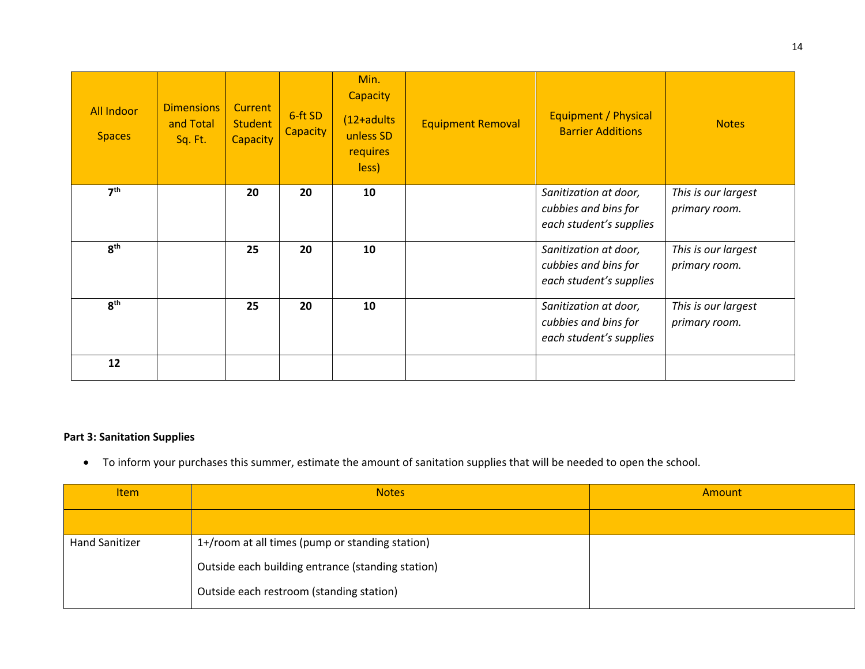| <b>All Indoor</b><br><b>Spaces</b> | <b>Dimensions</b><br>and Total<br>Sq. Ft. | <b>Current</b><br><b>Student</b><br><b>Capacity</b> | 6-ft SD<br><b>Capacity</b> | Min.<br><b>Capacity</b><br>$(12+adults)$<br>unless SD<br>requires<br>less) | <b>Equipment Removal</b> | Equipment / Physical<br><b>Barrier Additions</b>                         | <b>Notes</b>                         |
|------------------------------------|-------------------------------------------|-----------------------------------------------------|----------------------------|----------------------------------------------------------------------------|--------------------------|--------------------------------------------------------------------------|--------------------------------------|
| 7 <sup>th</sup>                    |                                           | 20                                                  | 20                         | 10                                                                         |                          | Sanitization at door,<br>cubbies and bins for<br>each student's supplies | This is our largest<br>primary room. |
| 8 <sup>th</sup>                    |                                           | 25                                                  | 20                         | 10                                                                         |                          | Sanitization at door,<br>cubbies and bins for<br>each student's supplies | This is our largest<br>primary room. |
| 8 <sup>th</sup>                    |                                           | 25                                                  | 20                         | 10                                                                         |                          | Sanitization at door,<br>cubbies and bins for<br>each student's supplies | This is our largest<br>primary room. |
| 12                                 |                                           |                                                     |                            |                                                                            |                          |                                                                          |                                      |

### **Part 3: Sanitation Supplies**

• To inform your purchases this summer, estimate the amount of sanitation supplies that will be needed to open the school.

| <b>Item</b>           | <b>Notes</b>                                      | Amount |
|-----------------------|---------------------------------------------------|--------|
|                       |                                                   |        |
| <b>Hand Sanitizer</b> | 1+/room at all times (pump or standing station)   |        |
|                       | Outside each building entrance (standing station) |        |
|                       | Outside each restroom (standing station)          |        |